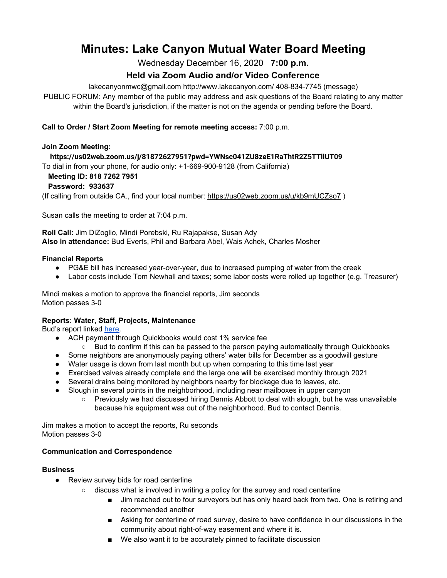# **Minutes: Lake Canyon Mutual Water Board Meeting**

Wednesday December 16, 2020 **7:00 p.m.**

## **Held via Zoom Audio and/or Video Conference**

lakecanyonmwc@gmail.com http://www.lakecanyon.com/ 408-834-7745 (message)

PUBLIC FORUM: Any member of the public may address and ask questions of the Board relating to any matter within the Board's jurisdiction, if the matter is not on the agenda or pending before the Board.

#### **Call to Order / Start Zoom Meeting for remote meeting access:** 7:00 p.m.

## **Join Zoom Meeting:**

**<https://us02web.zoom.us/j/81872627951?pwd=YWNsc041ZU8zeE1RaThtR2Z5TTllUT09>**

To dial in from your phone, for audio only: +1-669-900-9128 (from California)

### **Meeting ID: 818 7262 7951**

#### **Password: 933637**

(If calling from outside CA., find your local number[:](https://us02web.zoom.us/u/kb9mUCZso7) <https://us02web.zoom.us/u/kb9mUCZso7> )

Susan calls the meeting to order at 7:04 p.m.

**Roll Call:** Jim DiZoglio, Mindi Porebski, Ru Rajapakse, Susan Ady **Also in attendance:** Bud Everts, Phil and Barbara Abel, Wais Achek, Charles Mosher

#### **Financial Reports**

- PG&E bill has increased year-over-year, due to increased pumping of water from the creek
- Labor costs include Tom Newhall and taxes; some labor costs were rolled up together (e.g. Treasurer)

Mindi makes a motion to approve the financial reports, Jim seconds Motion passes 3-0

#### **Reports: Water, Staff, Projects, Maintenance**

Bud's report linked [here.](https://7e761103-1889-4c62-a205-c99a02daa857.usrfiles.com/ugd/7e7611_aea01a8795cc450b99603d1005022050.pdf)

- ACH payment through Quickbooks would cost 1% service fee
	- Bud to confirm if this can be passed to the person paying automatically through Quickbooks
- Some neighbors are anonymously paying others' water bills for December as a goodwill gesture
- Water usage is down from last month but up when comparing to this time last year
- Exercised valves already complete and the large one will be exercised monthly through 2021
- Several drains being monitored by neighbors nearby for blockage due to leaves, etc.
- Slough in several points in the neighborhood, including near mailboxes in upper canyon
	- Previously we had discussed hiring Dennis Abbott to deal with slough, but he was unavailable because his equipment was out of the neighborhood. Bud to contact Dennis.

Jim makes a motion to accept the reports, Ru seconds Motion passes 3-0

#### **Communication and Correspondence**

#### **Business**

- Review survey bids for road centerline
	- discuss what is involved in writing a policy for the survey and road centerline
		- Jim reached out to four surveyors but has only heard back from two. One is retiring and recommended another
		- Asking for centerline of road survey, desire to have confidence in our discussions in the community about right-of-way easement and where it is.
		- We also want it to be accurately pinned to facilitate discussion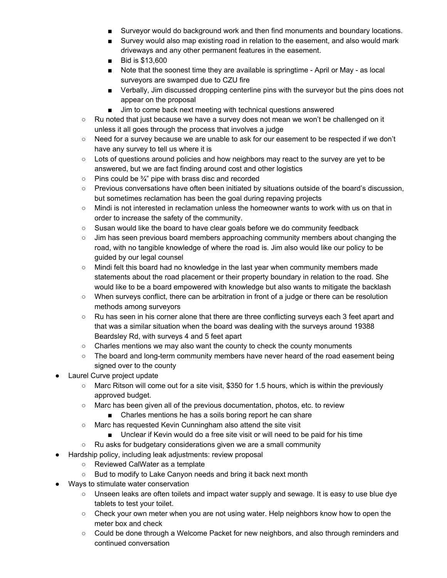- Surveyor would do background work and then find monuments and boundary locations.
- Survey would also map existing road in relation to the easement, and also would mark driveways and any other permanent features in the easement.
- Bid is \$13,600
- Note that the soonest time they are available is springtime April or May as local surveyors are swamped due to CZU fire
- Verbally, Jim discussed dropping centerline pins with the surveyor but the pins does not appear on the proposal
- Jim to come back next meeting with technical questions answered
- Ru noted that just because we have a survey does not mean we won't be challenged on it unless it all goes through the process that involves a judge
- Need for a survey because we are unable to ask for our easement to be respected if we don't have any survey to tell us where it is
- Lots of questions around policies and how neighbors may react to the survey are yet to be answered, but we are fact finding around cost and other logistics
- $\circ$  Pins could be  $\frac{3}{4}$ " pipe with brass disc and recorded
- Previous conversations have often been initiated by situations outside of the board's discussion, but sometimes reclamation has been the goal during repaving projects
- Mindi is not interested in reclamation unless the homeowner wants to work with us on that in order to increase the safety of the community.
- Susan would like the board to have clear goals before we do community feedback
- Jim has seen previous board members approaching community members about changing the road, with no tangible knowledge of where the road is. Jim also would like our policy to be guided by our legal counsel
- Mindi felt this board had no knowledge in the last year when community members made statements about the road placement or their property boundary in relation to the road. She would like to be a board empowered with knowledge but also wants to mitigate the backlash
- When surveys conflict, there can be arbitration in front of a judge or there can be resolution methods among surveyors
- Ru has seen in his corner alone that there are three conflicting surveys each 3 feet apart and that was a similar situation when the board was dealing with the surveys around 19388 Beardsley Rd, with surveys 4 and 5 feet apart
- Charles mentions we may also want the county to check the county monuments
- The board and long-term community members have never heard of the road easement being signed over to the county
- Laurel Curve project update
	- Marc Ritson will come out for a site visit, \$350 for 1.5 hours, which is within the previously approved budget.
	- Marc has been given all of the previous documentation, photos, etc. to review
		- Charles mentions he has a soils boring report he can share
	- Marc has requested Kevin Cunningham also attend the site visit
		- Unclear if Kevin would do a free site visit or will need to be paid for his time
	- Ru asks for budgetary considerations given we are a small community
- Hardship policy, including leak adjustments: review proposal
	- Reviewed CalWater as a template
	- Bud to modify to Lake Canyon needs and bring it back next month
- Ways to stimulate water conservation
	- Unseen leaks are often toilets and impact water supply and sewage. It is easy to use blue dye tablets to test your toilet.
	- Check your own meter when you are not using water. Help neighbors know how to open the meter box and check
	- Could be done through a Welcome Packet for new neighbors, and also through reminders and continued conversation